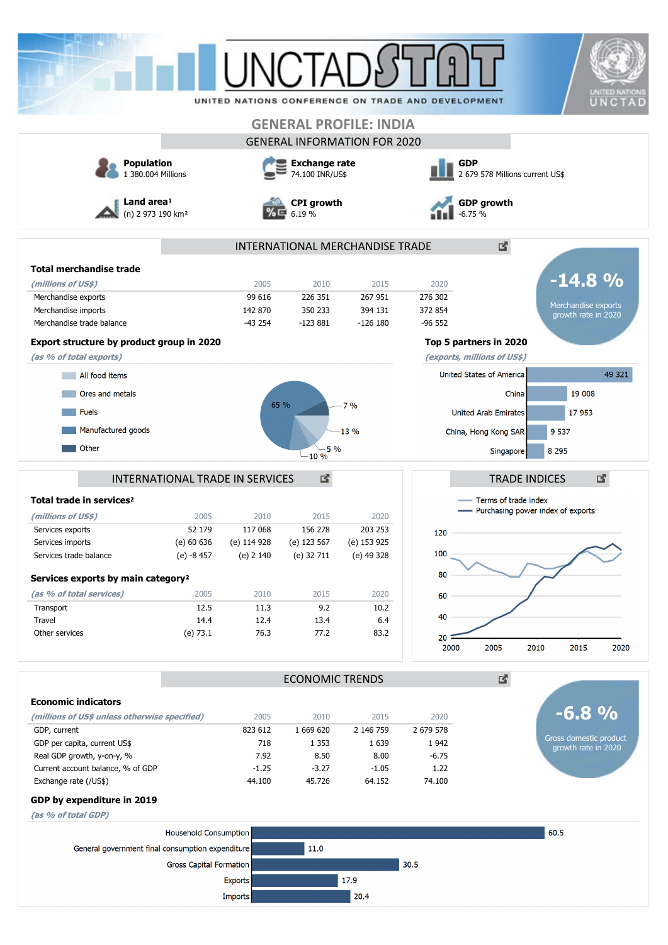|                                                                 |                         |                                        |                                     |                 |                                                    | UNITED NATIONS                                              |  |
|-----------------------------------------------------------------|-------------------------|----------------------------------------|-------------------------------------|-----------------|----------------------------------------------------|-------------------------------------------------------------|--|
|                                                                 |                         |                                        |                                     |                 | UNITED NATIONS CONFERENCE ON TRADE AND DEVELOPMENT | UNCTAD                                                      |  |
|                                                                 |                         |                                        | <b>GENERAL PROFILE: INDIA</b>       |                 |                                                    |                                                             |  |
|                                                                 |                         |                                        | <b>GENERAL INFORMATION FOR 2020</b> |                 |                                                    |                                                             |  |
| <b>Population</b>                                               |                         |                                        | <b>Exchange rate</b>                |                 | <b>GDP</b>                                         |                                                             |  |
| 1 380,004 Millions                                              |                         |                                        | 74.100 INR/US\$                     |                 | 2 679 578 Millions current US\$                    |                                                             |  |
| Land area!<br>(n) 2 973 190 km <sup>2</sup>                     |                         |                                        | <b>CPI</b> growth<br>6.19%          |                 | <b>GDP</b> growth<br>$-6.75%$                      |                                                             |  |
|                                                                 |                         |                                        | INTERNATIONAL MERCHANDISE TRADE     |                 |                                                    | 國                                                           |  |
| <b>Total merchandise trade</b>                                  |                         |                                        |                                     |                 |                                                    |                                                             |  |
| (millions of US\$)                                              |                         | 2005                                   | 2010                                | 2015            | 2020                                               | $-14.8%$                                                    |  |
| Merchandise exports                                             |                         | 99 616                                 | 226 351                             | 267 951         | 276 302                                            |                                                             |  |
| Merchandise imports                                             |                         | 142 870                                | 350 233                             | 394 131         | 372 854                                            | Merchandise exports<br>growth rate in 2020                  |  |
| Merchandise trade balance                                       |                         | $-43254$                               | $-123881$                           | $-126$ 180      | $-96552$                                           |                                                             |  |
| Export structure by product group in 2020                       |                         |                                        |                                     |                 | Top 5 partners in 2020                             |                                                             |  |
| (as % of total exports)                                         |                         |                                        |                                     |                 | (exports, millions of US\$)                        |                                                             |  |
| All food items                                                  |                         |                                        |                                     |                 | United States of America                           | 49 321                                                      |  |
| Ores and metals                                                 |                         |                                        |                                     |                 |                                                    | 19 008<br>China                                             |  |
|                                                                 |                         |                                        | 65 %                                | 7%              |                                                    |                                                             |  |
| <b>Fuels</b>                                                    |                         |                                        |                                     |                 | <b>United Arab Emirates</b>                        | 17953                                                       |  |
| Manufactured goods                                              |                         |                                        |                                     | 13 %            | China, Hong Kong SAR                               | 9 5 3 7                                                     |  |
| Other                                                           |                         |                                        | 5 %<br>$-10 \%$                     |                 |                                                    | 8 2 9 5<br>Singapore                                        |  |
|                                                                 |                         | <b>INTERNATIONAL TRADE IN SERVICES</b> | 國                                   |                 |                                                    | 國<br><b>TRADE INDICES</b>                                   |  |
| Total trade in services <sup>2</sup>                            |                         |                                        |                                     |                 |                                                    | Terms of trade index<br>- Purchasing power index of exports |  |
| (millions of US\$)<br>Services exports                          | 2005<br>52 179          | 2010<br>117 068                        | 2015<br>156 278                     | 2020<br>203 253 |                                                    |                                                             |  |
| Services imports                                                | (e) 60 636              | (e) 114 928                            | (e) 123 567                         | (e) 153 925     | 120                                                |                                                             |  |
| Services trade balance                                          | (e) -8 457              | (e) 2 140                              | (e) 32 711                          | (e) 49 328      | 100                                                |                                                             |  |
|                                                                 |                         |                                        |                                     |                 | 80                                                 |                                                             |  |
| Services exports by main category <sup>2</sup>                  |                         |                                        |                                     |                 |                                                    |                                                             |  |
| (as % of total services)<br>Transport                           | 2005<br>12.5            | 2010<br>11.3                           | 2015<br>9.2                         | 2020<br>10.2    | 60                                                 |                                                             |  |
| Travel                                                          | 14.4                    | 12.4                                   | 13.4                                | 6.4             | 40                                                 |                                                             |  |
| Other services                                                  | (e) 73.1                | 76.3                                   | 77.2                                | 83.2            | 20 <sup>1</sup>                                    |                                                             |  |
|                                                                 |                         |                                        |                                     |                 | 2005<br>2000                                       | 2010<br>2015<br>2020                                        |  |
|                                                                 | <b>ECONOMIC TRENDS</b>  |                                        |                                     |                 | 國                                                  |                                                             |  |
| <b>Economic indicators</b>                                      |                         |                                        |                                     |                 |                                                    |                                                             |  |
| (millions of US\$ unless otherwise specified)                   |                         | 2005                                   | 2010                                | 2015            | 2020                                               | $-6.8\%$                                                    |  |
| GDP, current                                                    |                         | 823 612                                | 1 669 620                           | 2 146 759       | 2 679 578                                          | Gross domestic product                                      |  |
| GDP per capita, current US\$                                    |                         | 718                                    | 1 3 5 3                             | 1 6 3 9         | 1942                                               | growth rate in 2020                                         |  |
| Real GDP growth, y-on-y, %<br>Current account balance, % of GDP |                         | 7.92<br>$-1.25$                        | 8.50<br>$-3.27$                     | 8.00<br>$-1.05$ | $-6.75$<br>1.22                                    |                                                             |  |
| Exchange rate (/US\$)                                           |                         | 44.100                                 | 45.726                              | 64.152          | 74.100                                             |                                                             |  |
| GDP by expenditure in 2019                                      |                         |                                        |                                     |                 |                                                    |                                                             |  |
| (as % of total GDP)                                             |                         |                                        |                                     |                 |                                                    |                                                             |  |
|                                                                 | Household Consumption   |                                        |                                     |                 |                                                    | 60.5                                                        |  |
| General government final consumption expenditure                |                         |                                        | 11.0                                |                 |                                                    |                                                             |  |
|                                                                 | Gross Capital Formation |                                        |                                     |                 | 30.5                                               |                                                             |  |
|                                                                 |                         | <b>Exports</b>                         |                                     | 17.9            |                                                    |                                                             |  |
|                                                                 |                         | Imports                                |                                     | 20.4            |                                                    |                                                             |  |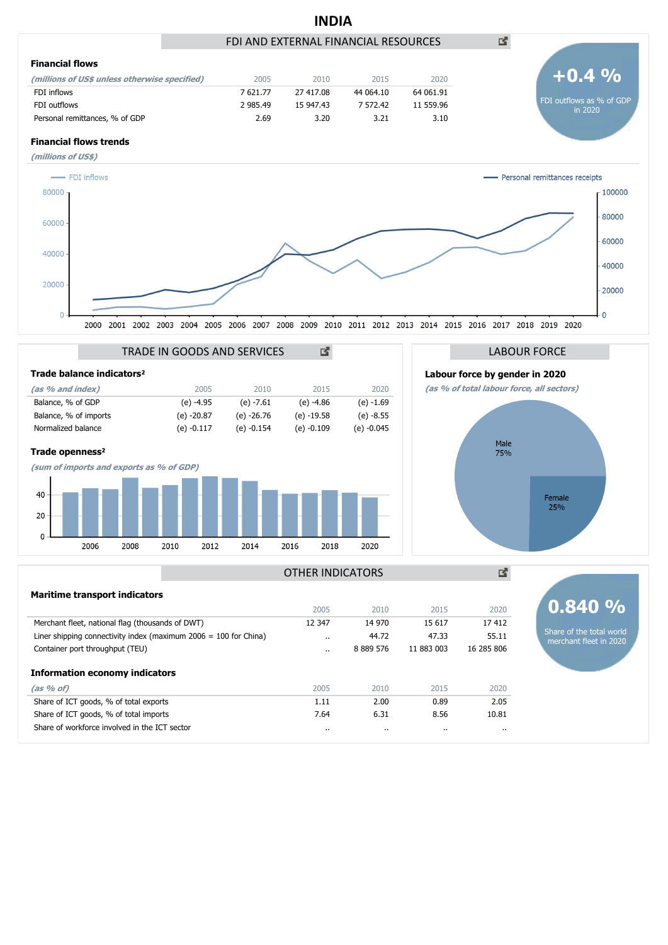